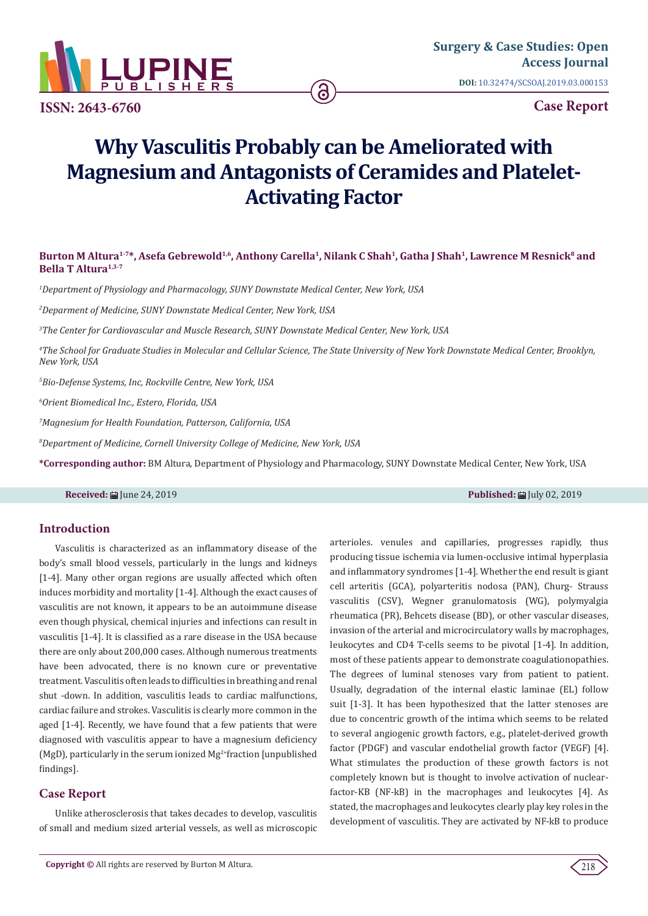

**ISSN: 2643-6760**

**Case Report**

# **Why Vasculitis Probably can be Ameliorated with Magnesium and Antagonists of Ceramides and Platelet-Activating Factor**

ခ

## Burton M Altura<sup>1-7\*</sup>, Asefa Gebrewold<sup>1,6</sup>, Anthony Carella<sup>1</sup>, Nilank C Shah<sup>1</sup>, Gatha J Shah<sup>1</sup>, Lawrence M Resnick<sup>8</sup> and **Bella T Altura1,3-7**

*1 Department of Physiology and Pharmacology, SUNY Downstate Medical Center, New York, USA*

*2 Deparment of Medicine, SUNY Downstate Medical Center, New York, USA*

*3 The Center for Cardiovascular and Muscle Research, SUNY Downstate Medical Center, New York, USA*

*4 The School for Graduate Studies in Molecular and Cellular Science, The State University of New York Downstate Medical Center, Brooklyn, New York, USA*

*5 Bio-Defense Systems, Inc, Rockville Centre, New York, USA*

*6 Orient Biomedical Inc., Estero, Florida, USA*

*7 Magnesium for Health Foundation, Patterson, California, USA*

*8 Department of Medicine, Cornell University College of Medicine, New York, USA*

**\*Corresponding author:** BM Altura, Department of Physiology and Pharmacology, SUNY Downstate Medical Center, New York, USA

## **Received:** June 24, 2019 **Published:** July 02, 2019

## **Introduction**

Vasculitis is characterized as an inflammatory disease of the body's small blood vessels, particularly in the lungs and kidneys [1-4]. Many other organ regions are usually affected which often induces morbidity and mortality [1-4]. Although the exact causes of vasculitis are not known, it appears to be an autoimmune disease even though physical, chemical injuries and infections can result in vasculitis [1-4]. It is classified as a rare disease in the USA because there are only about 200,000 cases. Although numerous treatments have been advocated, there is no known cure or preventative treatment. Vasculitis often leads to difficulties in breathing and renal shut -down. In addition, vasculitis leads to cardiac malfunctions, cardiac failure and strokes. Vasculitis is clearly more common in the aged [1-4]. Recently, we have found that a few patients that were diagnosed with vasculitis appear to have a magnesium deficiency (MgD), particularly in the serum ionized  $Mg^{2+}$ fraction [unpublished findings].

## **Case Report**

Unlike atherosclerosis that takes decades to develop, vasculitis of small and medium sized arterial vessels, as well as microscopic arterioles. venules and capillaries, progresses rapidly, thus producing tissue ischemia via lumen-occlusive intimal hyperplasia and inflammatory syndromes [1-4]. Whether the end result is giant cell arteritis (GCA), polyarteritis nodosa (PAN), Churg- Strauss vasculitis (CSV), Wegner granulomatosis (WG), polymyalgia rheumatica (PR), Behcets disease (BD), or other vascular diseases, invasion of the arterial and microcirculatory walls by macrophages, leukocytes and CD4 T-cells seems to be pivotal [1-4]. In addition, most of these patients appear to demonstrate coagulationopathies. The degrees of luminal stenoses vary from patient to patient. Usually, degradation of the internal elastic laminae (EL) follow suit [1-3]. It has been hypothesized that the latter stenoses are due to concentric growth of the intima which seems to be related to several angiogenic growth factors, e.g., platelet-derived growth factor (PDGF) and vascular endothelial growth factor (VEGF) [4]. What stimulates the production of these growth factors is not completely known but is thought to involve activation of nuclearfactor-KB (NF-kB) in the macrophages and leukocytes [4]. As stated, the macrophages and leukocytes clearly play key roles in the development of vasculitis. They are activated by NF-kB to produce

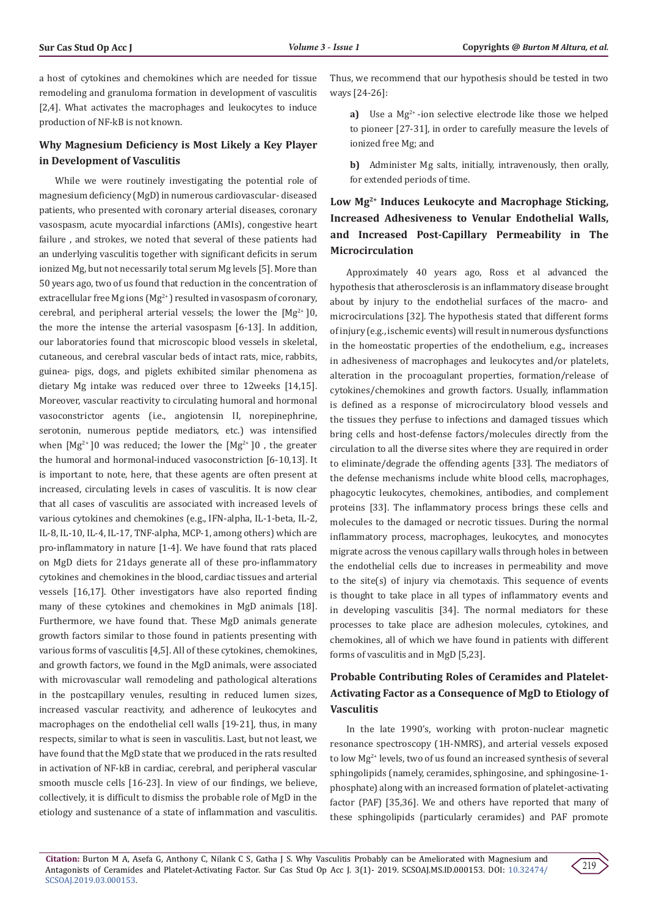a host of cytokines and chemokines which are needed for tissue remodeling and granuloma formation in development of vasculitis [2,4]. What activates the macrophages and leukocytes to induce production of NF-kB is not known.

## **Why Magnesium Deficiency is Most Likely a Key Player in Development of Vasculitis**

While we were routinely investigating the potential role of magnesium deficiency (MgD) in numerous cardiovascular- diseased patients, who presented with coronary arterial diseases, coronary vasospasm, acute myocardial infarctions (AMIs), congestive heart failure , and strokes, we noted that several of these patients had an underlying vasculitis together with significant deficits in serum ionized Mg, but not necessarily total serum Mg levels [5]. More than 50 years ago, two of us found that reduction in the concentration of extracellular free Mg ions ( $Mg^{2+}$ ) resulted in vasospasm of coronary, cerebral, and peripheral arterial vessels; the lower the  $[Mg^{2+}]0$ , the more the intense the arterial vasospasm [6-13]. In addition, our laboratories found that microscopic blood vessels in skeletal, cutaneous, and cerebral vascular beds of intact rats, mice, rabbits, guinea- pigs, dogs, and piglets exhibited similar phenomena as dietary Mg intake was reduced over three to 12weeks [14,15]. Moreover, vascular reactivity to circulating humoral and hormonal vasoconstrictor agents (i.e., angiotensin II, norepinephrine, serotonin, numerous peptide mediators, etc.) was intensified when  $[Mg^{2+}]0$  was reduced; the lower the  $[Mg^{2+}]0$ , the greater the humoral and hormonal-induced vasoconstriction [6-10,13]. It is important to note, here, that these agents are often present at increased, circulating levels in cases of vasculitis. It is now clear that all cases of vasculitis are associated with increased levels of various cytokines and chemokines (e.g., IFN-alpha, IL-1-beta, IL-2, IL-8, IL-10, IL-4, IL-17, TNF-alpha, MCP-1, among others) which are pro-inflammatory in nature [1-4]. We have found that rats placed on MgD diets for 21days generate all of these pro-inflammatory cytokines and chemokines in the blood, cardiac tissues and arterial vessels [16,17]. Other investigators have also reported finding many of these cytokines and chemokines in MgD animals [18]. Furthermore, we have found that. These MgD animals generate growth factors similar to those found in patients presenting with various forms of vasculitis [4,5]. All of these cytokines, chemokines, and growth factors, we found in the MgD animals, were associated with microvascular wall remodeling and pathological alterations in the postcapillary venules, resulting in reduced lumen sizes, increased vascular reactivity, and adherence of leukocytes and macrophages on the endothelial cell walls [19-21], thus, in many respects, similar to what is seen in vasculitis. Last, but not least, we have found that the MgD state that we produced in the rats resulted in activation of NF-kB in cardiac, cerebral, and peripheral vascular smooth muscle cells [16-23]. In view of our findings, we believe, collectively, it is difficult to dismiss the probable role of MgD in the etiology and sustenance of a state of inflammation and vasculitis.

Thus, we recommend that our hypothesis should be tested in two ways [24-26]:

**a)** Use a Mg<sup>2+</sup>-ion selective electrode like those we helped to pioneer [27-31], in order to carefully measure the levels of ionized free Mg; and

**b)** Administer Mg salts, initially, intravenously, then orally, for extended periods of time.

# **Low Mg2+ Induces Leukocyte and Macrophage Sticking, Increased Adhesiveness to Venular Endothelial Walls, and Increased Post-Capillary Permeability in The Microcirculation**

Approximately 40 years ago, Ross et al advanced the hypothesis that atherosclerosis is an inflammatory disease brought about by injury to the endothelial surfaces of the macro- and microcirculations [32]. The hypothesis stated that different forms of injury (e.g., ischemic events) will result in numerous dysfunctions in the homeostatic properties of the endothelium, e.g., increases in adhesiveness of macrophages and leukocytes and/or platelets, alteration in the procoagulant properties, formation/release of cytokines/chemokines and growth factors. Usually, inflammation is defined as a response of microcirculatory blood vessels and the tissues they perfuse to infections and damaged tissues which bring cells and host-defense factors/molecules directly from the circulation to all the diverse sites where they are required in order to eliminate/degrade the offending agents [33]. The mediators of the defense mechanisms include white blood cells, macrophages, phagocytic leukocytes, chemokines, antibodies, and complement proteins [33]. The inflammatory process brings these cells and molecules to the damaged or necrotic tissues. During the normal inflammatory process, macrophages, leukocytes, and monocytes migrate across the venous capillary walls through holes in between the endothelial cells due to increases in permeability and move to the site(s) of injury via chemotaxis. This sequence of events is thought to take place in all types of inflammatory events and in developing vasculitis [34]. The normal mediators for these processes to take place are adhesion molecules, cytokines, and chemokines, all of which we have found in patients with different forms of vasculitis and in MgD [5,23].

## **Probable Contributing Roles of Ceramides and Platelet-Activating Factor as a Consequence of MgD to Etiology of Vasculitis**

In the late 1990's, working with proton-nuclear magnetic resonance spectroscopy (1H-NMRS), and arterial vessels exposed to low Mg<sup>2+</sup> levels, two of us found an increased synthesis of several sphingolipids (namely, ceramides, sphingosine, and sphingosine-1 phosphate) along with an increased formation of platelet-activating factor (PAF) [35,36]. We and others have reported that many of these sphingolipids (particularly ceramides) and PAF promote

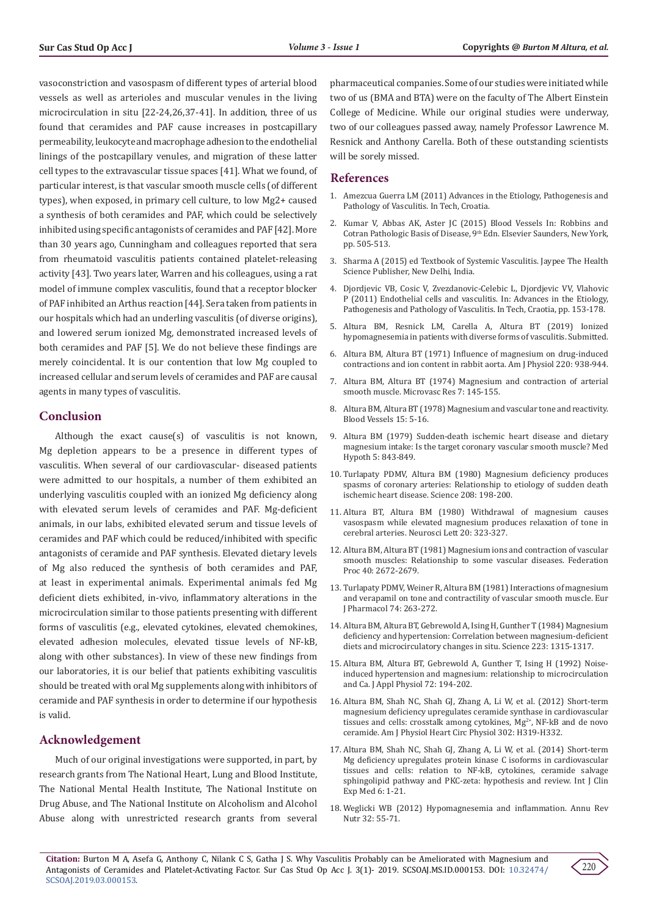vasoconstriction and vasospasm of different types of arterial blood vessels as well as arterioles and muscular venules in the living microcirculation in situ [22-24,26,37-41]. In addition, three of us found that ceramides and PAF cause increases in postcapillary permeability, leukocyte and macrophage adhesion to the endothelial linings of the postcapillary venules, and migration of these latter cell types to the extravascular tissue spaces [41]. What we found, of particular interest, is that vascular smooth muscle cells (of different types), when exposed, in primary cell culture, to low Mg2+ caused a synthesis of both ceramides and PAF, which could be selectively inhibited using specific antagonists of ceramides and PAF [42]. More than 30 years ago, Cunningham and colleagues reported that sera from rheumatoid vasculitis patients contained platelet-releasing activity [43]. Two years later, Warren and his colleagues, using a rat model of immune complex vasculitis, found that a receptor blocker of PAF inhibited an Arthus reaction [44]. Sera taken from patients in our hospitals which had an underling vasculitis (of diverse origins), and lowered serum ionized Mg, demonstrated increased levels of both ceramides and PAF [5]. We do not believe these findings are merely coincidental. It is our contention that low Mg coupled to increased cellular and serum levels of ceramides and PAF are causal agents in many types of vasculitis.

### **Conclusion**

Although the exact cause(s) of vasculitis is not known, Mg depletion appears to be a presence in different types of vasculitis. When several of our cardiovascular- diseased patients were admitted to our hospitals, a number of them exhibited an underlying vasculitis coupled with an ionized Mg deficiency along with elevated serum levels of ceramides and PAF. Mg-deficient animals, in our labs, exhibited elevated serum and tissue levels of ceramides and PAF which could be reduced/inhibited with specific antagonists of ceramide and PAF synthesis. Elevated dietary levels of Mg also reduced the synthesis of both ceramides and PAF, at least in experimental animals. Experimental animals fed Mg deficient diets exhibited, in-vivo, inflammatory alterations in the microcirculation similar to those patients presenting with different forms of vasculitis (e.g., elevated cytokines, elevated chemokines, elevated adhesion molecules, elevated tissue levels of NF-kB, along with other substances). In view of these new findings from our laboratories, it is our belief that patients exhibiting vasculitis should be treated with oral Mg supplements along with inhibitors of ceramide and PAF synthesis in order to determine if our hypothesis is valid.

## **Acknowledgement**

Much of our original investigations were supported, in part, by research grants from The National Heart, Lung and Blood Institute, The National Mental Health Institute, The National Institute on Drug Abuse, and The National Institute on Alcoholism and Alcohol Abuse along with unrestricted research grants from several pharmaceutical companies. Some of our studies were initiated while two of us (BMA and BTA) were on the faculty of The Albert Einstein College of Medicine. While our original studies were underway, two of our colleagues passed away, namely Professor Lawrence M. Resnick and Anthony Carella. Both of these outstanding scientists will be sorely missed.

## **References**

- 1. [Amezcua Guerra LM \(2011\) Advances in the Etiology, Pathogenesis and](https://www.intechopen.com/books/advances-in-the-etiology-pathogenesis-and-pathology-of-vasculitis) [Pathology of Vasculitis. In Tech, Croatia.](https://www.intechopen.com/books/advances-in-the-etiology-pathogenesis-and-pathology-of-vasculitis)
- 2. Kumar V, Abbas AK, Aster JC (2015) Blood Vessels In: Robbins and Cotran Pathologic Basis of Disease, 9<sup>th</sup> Edn. Elsevier Saunders, New York, pp. 505-513.
- 3. [Sharma A \(2015\) ed Textbook of Systemic Vasculitis. Jaypee The Health](https://www.jaypeebrothers.com/pgDetails.aspx?book_id=9789351526520) [Science Publisher, New Delhi, India.](https://www.jaypeebrothers.com/pgDetails.aspx?book_id=9789351526520)
- 4. [Djordjevic VB, Cosic V, Zvezdanovic-Celebic L, Djordjevic VV, Vlahovic](https://www.intechopen.com/books/advances-in-the-etiology-pathogenesis-and-pathology-of-vasculitis/endothelial-cells-and-vasculitis) [P \(2011\) Endothelial cells and vasculitis. In: Advances in the Etiology,](https://www.intechopen.com/books/advances-in-the-etiology-pathogenesis-and-pathology-of-vasculitis/endothelial-cells-and-vasculitis) [Pathogenesis and Pathology of Vasculitis. In Tech, Craotia, pp. 153-178.](https://www.intechopen.com/books/advances-in-the-etiology-pathogenesis-and-pathology-of-vasculitis/endothelial-cells-and-vasculitis)
- 5. Altura BM, Resnick LM, Carella A, Altura BT (2019) Ionized hypomagnesemia in patients with diverse forms of vasculitis. Submitted.
- 6. [Altura BM, Altura BT \(1971\) Influence of magnesium on drug-induced](https://www.ncbi.nlm.nih.gov/pubmed/4323905) [contractions and ion content in rabbit aorta. Am J Physiol 220: 938-944.](https://www.ncbi.nlm.nih.gov/pubmed/4323905)
- 7. [Altura BM, Altura BT \(1974\) Magnesium and contraction of arterial](https://www.ncbi.nlm.nih.gov/pubmed/4363012) [smooth muscle. Microvasc Res 7: 145-155.](https://www.ncbi.nlm.nih.gov/pubmed/4363012)
- 8. [Altura BM, Altura BT \(1978\) Magnesium and vascular tone and reactivity.](https://www.ncbi.nlm.nih.gov/pubmed/630136) [Blood Vessels 15: 5-16.](https://www.ncbi.nlm.nih.gov/pubmed/630136)
- 9. [Altura BM \(1979\) Sudden-death ischemic heart disease and dietary](https://www.ncbi.nlm.nih.gov/pubmed/390330) [magnesium intake: Is the target coronary vascular smooth muscle? Med](https://www.ncbi.nlm.nih.gov/pubmed/390330) [Hypoth 5: 843-849.](https://www.ncbi.nlm.nih.gov/pubmed/390330)
- 10. [Turlapaty PDMV, Altura BM \(1980\) Magnesium deficiency produces](https://www.ncbi.nlm.nih.gov/pubmed/7361117) [spasms of coronary arteries: Relationship to etiology of sudden death](https://www.ncbi.nlm.nih.gov/pubmed/7361117) [ischemic heart disease. Science 208: 198-200.](https://www.ncbi.nlm.nih.gov/pubmed/7361117)
- 11. [Altura BT, Altura BM \(1980\) Withdrawal of magnesium causes](https://www.ncbi.nlm.nih.gov/pubmed/7443079) [vasospasm while elevated magnesium produces relaxation of tone in](https://www.ncbi.nlm.nih.gov/pubmed/7443079) [cerebral arteries. Neurosci Lett 20: 323-327.](https://www.ncbi.nlm.nih.gov/pubmed/7443079)
- 12. [Altura BM, Altura BT \(1981\) Magnesium ions and contraction of vascular](https://www.ncbi.nlm.nih.gov/pubmed/6116625) [smooth muscles: Relationship to some vascular diseases. Federation](https://www.ncbi.nlm.nih.gov/pubmed/6116625) [Proc 40: 2672-2679.](https://www.ncbi.nlm.nih.gov/pubmed/6116625)
- 13. [Turlapaty PDMV, Weiner R, Altura BM \(1981\) Interactions of magnesium](https://www.ncbi.nlm.nih.gov/pubmed/7297597) [and verapamil on tone and contractility of vascular smooth muscle. Eur](https://www.ncbi.nlm.nih.gov/pubmed/7297597) [J Pharmacol 74: 263-272.](https://www.ncbi.nlm.nih.gov/pubmed/7297597)
- 14. [Altura BM, Altura BT, Gebrewold A, Ising H, Gunther T \(1984\) Magnesium](https://www.ncbi.nlm.nih.gov/pubmed/6701524) [deficiency and hypertension: Correlation between magnesium-deficient](https://www.ncbi.nlm.nih.gov/pubmed/6701524) [diets and microcirculatory changes in situ. Science 223: 1315-1317.](https://www.ncbi.nlm.nih.gov/pubmed/6701524)
- 15. [Altura BM, Altura BT, Gebrewold A, Gunther T, Ising H \(1992\) Noise](https://www.ncbi.nlm.nih.gov/pubmed/1537714)[induced hypertension and magnesium: relationship to microcirculation](https://www.ncbi.nlm.nih.gov/pubmed/1537714) [and Ca. J Appl Physiol 72: 194-202.](https://www.ncbi.nlm.nih.gov/pubmed/1537714)
- 16. [Altura BM, Shah NC, Shah GJ, Zhang A, Li W, et al. \(2012\) Short-term](https://www.ncbi.nlm.nih.gov/pubmed/21984552) [magnesium deficiency upregulates ceramide synthase in cardiovascular](https://www.ncbi.nlm.nih.gov/pubmed/21984552) tissues and cells: crosstalk among cytokines,  $Mg^{2+}$ , NF-kB and de novo [ceramide. Am J Physiol Heart Circ Physiol 302: H319-H332.](https://www.ncbi.nlm.nih.gov/pubmed/21984552)
- 17. [Altura BM, Shah NC, Shah GJ, Zhang A, Li W, et al. \(2014\) Short-term](https://www.ncbi.nlm.nih.gov/pubmed/24482684) [Mg deficiency upregulates protein kinase C isoforms in cardiovascular](https://www.ncbi.nlm.nih.gov/pubmed/24482684) [tissues and cells: relation to NF-kB, cytokines, ceramide salvage](https://www.ncbi.nlm.nih.gov/pubmed/24482684) [sphingolipid pathway and PKC-zeta: hypothesis and review. Int J Clin](https://www.ncbi.nlm.nih.gov/pubmed/24482684) [Exp Med 6: 1-21.](https://www.ncbi.nlm.nih.gov/pubmed/24482684)
- 18. [Weglicki WB \(2012\) Hypomagnesemia and inflammation. Annu Rev](https://www.ncbi.nlm.nih.gov/pubmed/22404119) [Nutr 32: 55-71.](https://www.ncbi.nlm.nih.gov/pubmed/22404119)

**Citation:** Burton M A, Asefa G, Anthony C, Nilank C S, Gatha J S. Why Vasculitis Probably can be Ameliorated with Magnesium and Antagonists of Ceramides and Platelet-Activating Factor. Sur Cas Stud Op Acc J. 3(1)- 2019. SCSOAJ.MS.ID.000153. DOI: [10.32474/](http://dx.doi.org/10.32474/SCSOAJ.2019.03.000153) [SCSOAJ.2019.03.000153](http://dx.doi.org/10.32474/SCSOAJ.2019.03.000153).